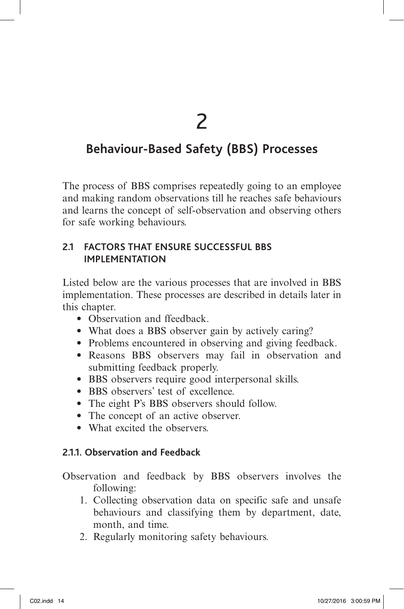2

# **Behaviour-Based Safety (BBS) Processes**

The process of BBS comprises repeatedly going to an employee and making random observations till he reaches safe behaviours and learns the concept of self-observation and observing others for safe working behaviours.

## **2.1 FACTORS THAT ENSURE SUCCESSFUL BBS IMPLEMENTATION**

Listed below are the various processes that are involved in BBS implementation. These processes are described in details later in this chapter.

- Observation and ffeedback.
- What does a BBS observer gain by actively caring?
- Problems encountered in observing and giving feedback.
- Reasons BBS observers may fail in observation and submitting feedback properly.
- BBS observers require good interpersonal skills.
- BBS observers' test of excellence.
- The eight P's BBS observers should follow.
- The concept of an active observer.
- What excited the observers.

## **2.1.1. Observation and Feedback**

Observation and feedback by BBS observers involves the following:

- 1. Collecting observation data on specific safe and unsafe behaviours and classifying them by department, date, month, and time.
- 2. Regularly monitoring safety behaviours.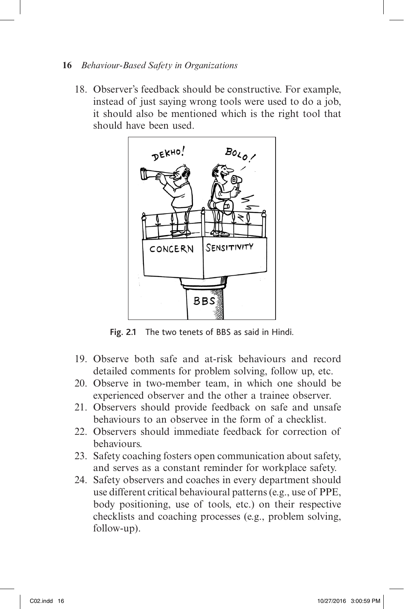#### **16** *Behaviour-Based Safety in Organizations*

18. Observer's feedback should be constructive. For example, instead of just saying wrong tools were used to do a job, it should also be mentioned which is the right tool that should have been used.



**Fig. 2.1** The two tenets of BBS as said in Hindi.

- 19. Observe both safe and at-risk behaviours and record detailed comments for problem solving, follow up, etc.
- 20. Observe in two-member team, in which one should be experienced observer and the other a trainee observer.
- 21. Observers should provide feedback on safe and unsafe behaviours to an observee in the form of a checklist.
- 22. Observers should immediate feedback for correction of behaviours.
- 23. Safety coaching fosters open communication about safety, and serves as a constant reminder for workplace safety.
- 24. Safety observers and coaches in every department should use different critical behavioural patterns (e.g., use of PPE, body positioning, use of tools, etc.) on their respective checklists and coaching processes (e.g., problem solving, follow-up).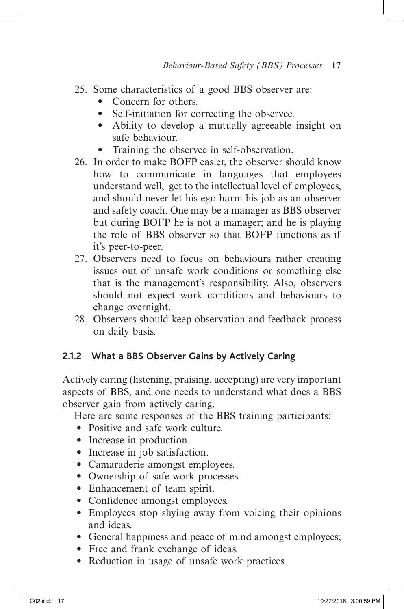- 25. Some characteristics of a good BBS observer are:
	- Concern for others.
	- Self-initiation for correcting the observee.
	- Ability to develop a mutually agreeable insight on safe behaviour.
	- Training the observee in self-observation.
- 26. In order to make BOFP easier, the observer should know how to communicate in languages that employees understand well, get to the intellectual level of employees, and should never let his ego harm his job as an observer and safety coach. One may be a manager as BBS observer but during BOFP he is not a manager; and he is playing the role of BBS observer so that BOFP functions as if it's peer-to-peer.
- 27. Observers need to focus on behaviours rather creating issues out of unsafe work conditions or something else that is the management's responsibility. Also, observers should not expect work conditions and behaviours to change overnight.
- 28. Observers should keep observation and feedback process on daily basis.

### **2.1.2 What a BBS Observer Gains by Actively Caring**

Actively caring (listening, praising, accepting) are very important aspects of BBS, and one needs to understand what does a BBS observer gain from actively caring.

Here are some responses of the BBS training participants:

- Positive and safe work culture.
- Increase in production.
- Increase in job satisfaction.
- Camaraderie amongst employees.
- Ownership of safe work processes.
- Enhancement of team spirit.
- Confidence amongst employees.
- Employees stop shying away from voicing their opinions and ideas.
- General happiness and peace of mind amongst employees;
- Free and frank exchange of ideas.
- Reduction in usage of unsafe work practices.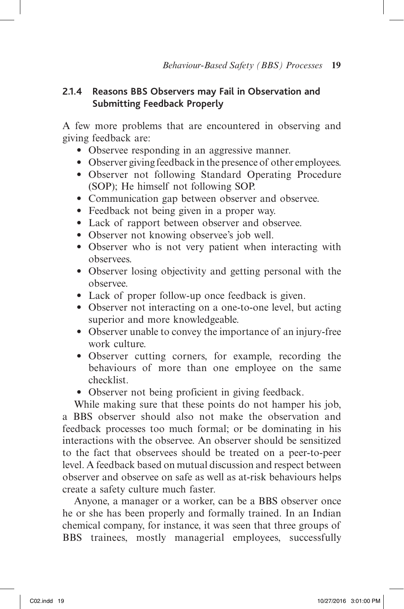## **2.1.4 Reasons BBS Observers may Fail in Observation and Submitting Feedback Properly**

A few more problems that are encountered in observing and giving feedback are:

- Observee responding in an aggressive manner.
- Observer giving feedback in the presence of other employees.
- Observer not following Standard Operating Procedure (SOP); He himself not following SOP.
- Communication gap between observer and observee.
- Feedback not being given in a proper way.
- Lack of rapport between observer and observee.
- Observer not knowing observee's job well.
- Observer who is not very patient when interacting with observees.
- Observer losing objectivity and getting personal with the observee.
- Lack of proper follow-up once feedback is given.
- Observer not interacting on a one-to-one level, but acting superior and more knowledgeable.
- Observer unable to convey the importance of an injury-free work culture.
- Observer cutting corners, for example, recording the behaviours of more than one employee on the same checklist.
- Observer not being proficient in giving feedback.

While making sure that these points do not hamper his job, a BBS observer should also not make the observation and feedback processes too much formal; or be dominating in his interactions with the observee. An observer should be sensitized to the fact that observees should be treated on a peer-to-peer level. A feedback based on mutual discussion and respect between observer and observee on safe as well as at-risk behaviours helps create a safety culture much faster.

Anyone, a manager or a worker, can be a BBS observer once he or she has been properly and formally trained. In an Indian chemical company, for instance, it was seen that three groups of BBS trainees, mostly managerial employees, successfully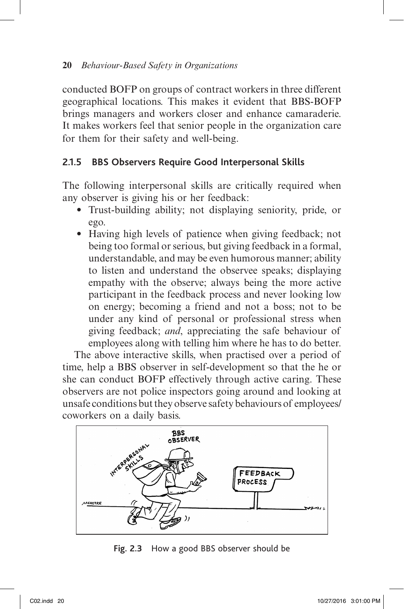conducted BOFP on groups of contract workers in three different geographical locations. This makes it evident that BBS-BOFP brings managers and workers closer and enhance camaraderie. It makes workers feel that senior people in the organization care for them for their safety and well-being.

## **2.1.5 BBS Observers Require Good Interpersonal Skills**

The following interpersonal skills are critically required when any observer is giving his or her feedback:

- Trust-building ability; not displaying seniority, pride, or ego.
- Having high levels of patience when giving feedback; not being too formal or serious, but giving feedback in a formal, understandable, and may be even humorous manner; ability to listen and understand the observee speaks; displaying empathy with the observe; always being the more active participant in the feedback process and never looking low on energy; becoming a friend and not a boss; not to be under any kind of personal or professional stress when giving feedback; *and*, appreciating the safe behaviour of employees along with telling him where he has to do better.

The above interactive skills, when practised over a period of time, help a BBS observer in self-development so that the he or she can conduct BOFP effectively through active caring. These observers are not police inspectors going around and looking at unsafe conditions but they observe safety behaviours of employees/ coworkers on a daily basis.



**Fig. 2.3** How a good BBS observer should be